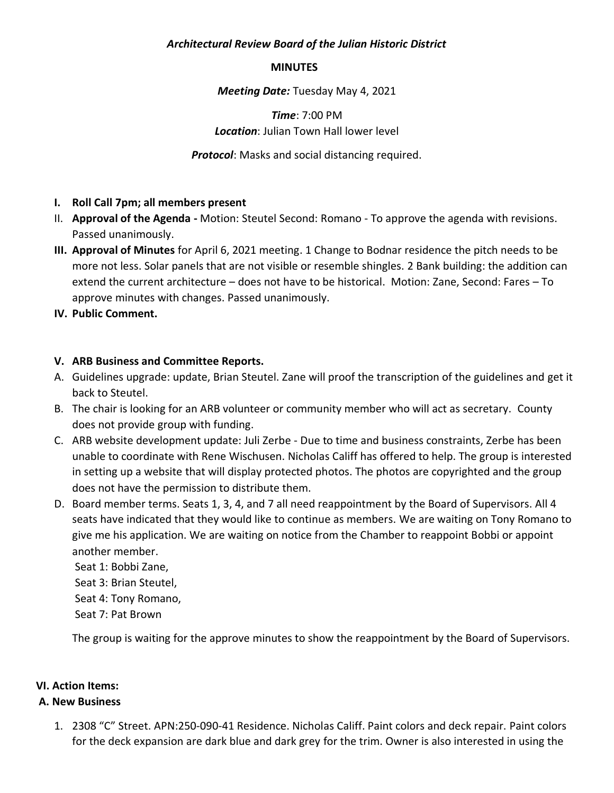### *Architectural Review Board of the Julian Historic District*

#### **MINUTES**

#### *Meeting Date:* Tuesday May 4, 2021

# *Time*: 7:00 PM *Location*: Julian Town Hall lower level

*Protocol*: Masks and social distancing required.

## **I. Roll Call 7pm; all members present**

- II. **Approval of the Agenda -** Motion: Steutel Second: Romano To approve the agenda with revisions. Passed unanimously.
- **III. Approval of Minutes** for April 6, 2021 meeting. 1 Change to Bodnar residence the pitch needs to be more not less. Solar panels that are not visible or resemble shingles. 2 Bank building: the addition can extend the current architecture – does not have to be historical. Motion: Zane, Second: Fares – To approve minutes with changes. Passed unanimously.

## **IV. Public Comment.**

## **V. ARB Business and Committee Reports.**

- A. Guidelines upgrade: update, Brian Steutel. Zane will proof the transcription of the guidelines and get it back to Steutel.
- B. The chair is looking for an ARB volunteer or community member who will act as secretary. County does not provide group with funding.
- C. ARB website development update: Juli Zerbe Due to time and business constraints, Zerbe has been unable to coordinate with Rene Wischusen. Nicholas Califf has offered to help. The group is interested in setting up a website that will display protected photos. The photos are copyrighted and the group does not have the permission to distribute them.
- D. Board member terms. Seats 1, 3, 4, and 7 all need reappointment by the Board of Supervisors. All 4 seats have indicated that they would like to continue as members. We are waiting on Tony Romano to give me his application. We are waiting on notice from the Chamber to reappoint Bobbi or appoint another member.

Seat 1: Bobbi Zane, Seat 3: Brian Steutel, Seat 4: Tony Romano, Seat 7: Pat Brown

The group is waiting for the approve minutes to show the reappointment by the Board of Supervisors.

## **VI. Action Items:**

## **A. New Business**

1. 2308 "C" Street. APN:250-090-41 Residence. Nicholas Califf. Paint colors and deck repair. Paint colors for the deck expansion are dark blue and dark grey for the trim. Owner is also interested in using the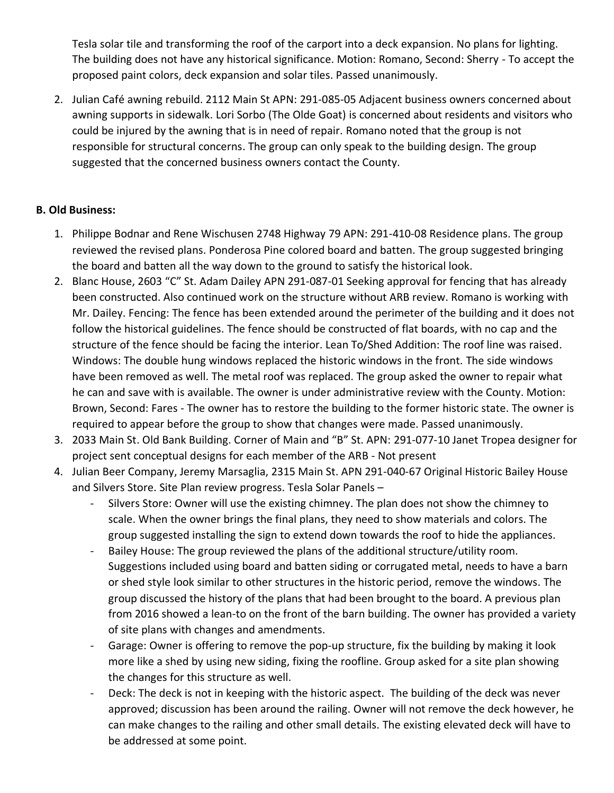Tesla solar tile and transforming the roof of the carport into a deck expansion. No plans for lighting. The building does not have any historical significance. Motion: Romano, Second: Sherry - To accept the proposed paint colors, deck expansion and solar tiles. Passed unanimously.

2. Julian Café awning rebuild. 2112 Main St APN: 291-085-05 Adjacent business owners concerned about awning supports in sidewalk. Lori Sorbo (The Olde Goat) is concerned about residents and visitors who could be injured by the awning that is in need of repair. Romano noted that the group is not responsible for structural concerns. The group can only speak to the building design. The group suggested that the concerned business owners contact the County.

## **B. Old Business:**

- 1. Philippe Bodnar and Rene Wischusen 2748 Highway 79 APN: 291-410-08 Residence plans. The group reviewed the revised plans. Ponderosa Pine colored board and batten. The group suggested bringing the board and batten all the way down to the ground to satisfy the historical look.
- 2. Blanc House, 2603 "C" St. Adam Dailey APN 291-087-01 Seeking approval for fencing that has already been constructed. Also continued work on the structure without ARB review. Romano is working with Mr. Dailey. Fencing: The fence has been extended around the perimeter of the building and it does not follow the historical guidelines. The fence should be constructed of flat boards, with no cap and the structure of the fence should be facing the interior. Lean To/Shed Addition: The roof line was raised. Windows: The double hung windows replaced the historic windows in the front. The side windows have been removed as well. The metal roof was replaced. The group asked the owner to repair what he can and save with is available. The owner is under administrative review with the County. Motion: Brown, Second: Fares - The owner has to restore the building to the former historic state. The owner is required to appear before the group to show that changes were made. Passed unanimously.
- 3. 2033 Main St. Old Bank Building. Corner of Main and "B" St. APN: 291-077-10 Janet Tropea designer for project sent conceptual designs for each member of the ARB - Not present
- 4. Julian Beer Company, Jeremy Marsaglia, 2315 Main St. APN 291-040-67 Original Historic Bailey House and Silvers Store. Site Plan review progress. Tesla Solar Panels –
	- Silvers Store: Owner will use the existing chimney. The plan does not show the chimney to scale. When the owner brings the final plans, they need to show materials and colors. The group suggested installing the sign to extend down towards the roof to hide the appliances.
	- Bailey House: The group reviewed the plans of the additional structure/utility room. Suggestions included using board and batten siding or corrugated metal, needs to have a barn or shed style look similar to other structures in the historic period, remove the windows. The group discussed the history of the plans that had been brought to the board. A previous plan from 2016 showed a lean-to on the front of the barn building. The owner has provided a variety of site plans with changes and amendments.
	- Garage: Owner is offering to remove the pop-up structure, fix the building by making it look more like a shed by using new siding, fixing the roofline. Group asked for a site plan showing the changes for this structure as well.
	- Deck: The deck is not in keeping with the historic aspect. The building of the deck was never approved; discussion has been around the railing. Owner will not remove the deck however, he can make changes to the railing and other small details. The existing elevated deck will have to be addressed at some point.